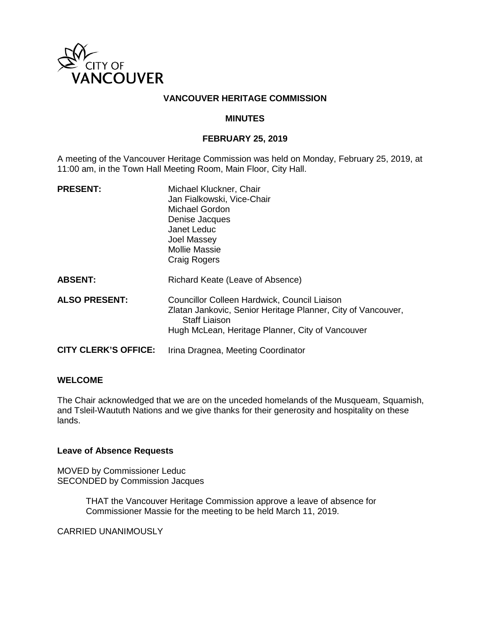

### **VANCOUVER HERITAGE COMMISSION**

### **MINUTES**

#### **FEBRUARY 25, 2019**

A meeting of the Vancouver Heritage Commission was held on Monday, February 25, 2019, at 11:00 am, in the Town Hall Meeting Room, Main Floor, City Hall.

| <b>PRESENT:</b>             | Michael Kluckner, Chair<br>Jan Fialkowski, Vice-Chair<br>Michael Gordon<br>Denise Jacques<br>Janet Leduc<br>Joel Massey<br><b>Mollie Massie</b><br><b>Craig Rogers</b>                   |
|-----------------------------|------------------------------------------------------------------------------------------------------------------------------------------------------------------------------------------|
| <b>ABSENT:</b>              | Richard Keate (Leave of Absence)                                                                                                                                                         |
| <b>ALSO PRESENT:</b>        | Councillor Colleen Hardwick, Council Liaison<br>Zlatan Jankovic, Senior Heritage Planner, City of Vancouver,<br><b>Staff Liaison</b><br>Hugh McLean, Heritage Planner, City of Vancouver |
| <b>CITY CLERK'S OFFICE:</b> | Irina Dragnea, Meeting Coordinator                                                                                                                                                       |

#### **WELCOME**

The Chair acknowledged that we are on the unceded homelands of the Musqueam, Squamish, and Tsleil-Waututh Nations and we give thanks for their generosity and hospitality on these lands.

### **Leave of Absence Requests**

MOVED by Commissioner Leduc SECONDED by Commission Jacques

> THAT the Vancouver Heritage Commission approve a leave of absence for Commissioner Massie for the meeting to be held March 11, 2019.

CARRIED UNANIMOUSLY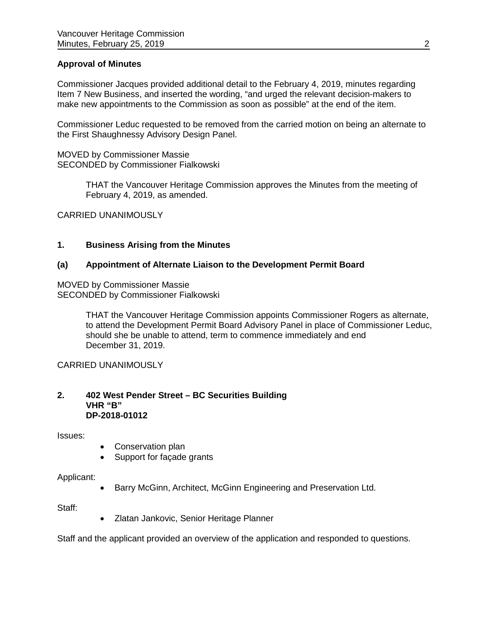# **Approval of Minutes**

Commissioner Jacques provided additional detail to the February 4, 2019, minutes regarding Item 7 New Business, and inserted the wording, "and urged the relevant decision-makers to make new appointments to the Commission as soon as possible" at the end of the item.

Commissioner Leduc requested to be removed from the carried motion on being an alternate to the First Shaughnessy Advisory Design Panel.

MOVED by Commissioner Massie SECONDED by Commissioner Fialkowski

> THAT the Vancouver Heritage Commission approves the Minutes from the meeting of February 4, 2019, as amended.

CARRIED UNANIMOUSLY

# **1. Business Arising from the Minutes**

### **(a) Appointment of Alternate Liaison to the Development Permit Board**

MOVED by Commissioner Massie SECONDED by Commissioner Fialkowski

> THAT the Vancouver Heritage Commission appoints Commissioner Rogers as alternate, to attend the Development Permit Board Advisory Panel in place of Commissioner Leduc, should she be unable to attend, term to commence immediately and end December 31, 2019.

CARRIED UNANIMOUSLY

#### **2. 402 West Pender Street – BC Securities Building VHR "B" DP-2018-01012**

Issues:

- Conservation plan
- Support for façade grants

#### Applicant:

• Barry McGinn, Architect, McGinn Engineering and Preservation Ltd.

Staff:

• Zlatan Jankovic, Senior Heritage Planner

Staff and the applicant provided an overview of the application and responded to questions.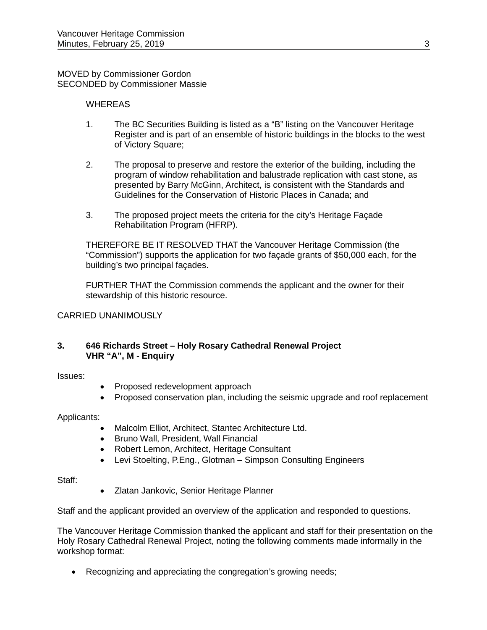MOVED by Commissioner Gordon SECONDED by Commissioner Massie

### **WHEREAS**

- 1. The BC Securities Building is listed as a "B" listing on the Vancouver Heritage Register and is part of an ensemble of historic buildings in the blocks to the west of Victory Square;
- 2. The proposal to preserve and restore the exterior of the building, including the program of window rehabilitation and balustrade replication with cast stone, as presented by Barry McGinn, Architect, is consistent with the Standards and Guidelines for the Conservation of Historic Places in Canada; and
- 3. The proposed project meets the criteria for the city's Heritage Façade Rehabilitation Program (HFRP).

THEREFORE BE IT RESOLVED THAT the Vancouver Heritage Commission (the "Commission") supports the application for two façade grants of \$50,000 each, for the building's two principal façades.

FURTHER THAT the Commission commends the applicant and the owner for their stewardship of this historic resource.

### CARRIED UNANIMOUSLY

# **3. 646 Richards Street – Holy Rosary Cathedral Renewal Project VHR "A", M - Enquiry**

Issues:

- Proposed redevelopment approach
- Proposed conservation plan, including the seismic upgrade and roof replacement

Applicants:

- Malcolm Elliot, Architect, Stantec Architecture Ltd.
- Bruno Wall, President, Wall Financial
- Robert Lemon, Architect, Heritage Consultant
- Levi Stoelting, P.Eng., Glotman Simpson Consulting Engineers

Staff:

• Zlatan Jankovic, Senior Heritage Planner

Staff and the applicant provided an overview of the application and responded to questions.

The Vancouver Heritage Commission thanked the applicant and staff for their presentation on the Holy Rosary Cathedral Renewal Project, noting the following comments made informally in the workshop format:

• Recognizing and appreciating the congregation's growing needs;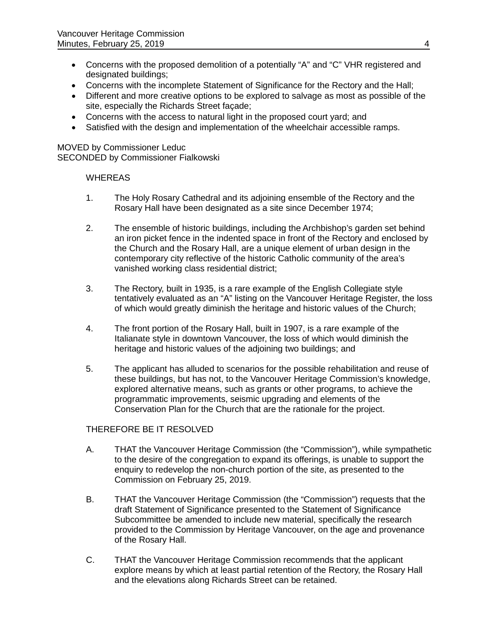- Concerns with the proposed demolition of a potentially "A" and "C" VHR registered and designated buildings;
- Concerns with the incomplete Statement of Significance for the Rectory and the Hall;
- Different and more creative options to be explored to salvage as most as possible of the site, especially the Richards Street façade;
- Concerns with the access to natural light in the proposed court yard; and
- Satisfied with the design and implementation of the wheelchair accessible ramps.

MOVED by Commissioner Leduc SECONDED by Commissioner Fialkowski

# **WHEREAS**

- 1. The Holy Rosary Cathedral and its adjoining ensemble of the Rectory and the Rosary Hall have been designated as a site since December 1974;
- 2. The ensemble of historic buildings, including the Archbishop's garden set behind an iron picket fence in the indented space in front of the Rectory and enclosed by the Church and the Rosary Hall, are a unique element of urban design in the contemporary city reflective of the historic Catholic community of the area's vanished working class residential district;
- 3. The Rectory, built in 1935, is a rare example of the English Collegiate style tentatively evaluated as an "A" listing on the Vancouver Heritage Register, the loss of which would greatly diminish the heritage and historic values of the Church;
- 4. The front portion of the Rosary Hall, built in 1907, is a rare example of the Italianate style in downtown Vancouver, the loss of which would diminish the heritage and historic values of the adjoining two buildings; and
- 5. The applicant has alluded to scenarios for the possible rehabilitation and reuse of these buildings, but has not, to the Vancouver Heritage Commission's knowledge, explored alternative means, such as grants or other programs, to achieve the programmatic improvements, seismic upgrading and elements of the Conservation Plan for the Church that are the rationale for the project.

# THEREFORE BE IT RESOLVED

- A. THAT the Vancouver Heritage Commission (the "Commission"), while sympathetic to the desire of the congregation to expand its offerings, is unable to support the enquiry to redevelop the non-church portion of the site, as presented to the Commission on February 25, 2019.
- B. THAT the Vancouver Heritage Commission (the "Commission") requests that the draft Statement of Significance presented to the Statement of Significance Subcommittee be amended to include new material, specifically the research provided to the Commission by Heritage Vancouver, on the age and provenance of the Rosary Hall.
- C. THAT the Vancouver Heritage Commission recommends that the applicant explore means by which at least partial retention of the Rectory, the Rosary Hall and the elevations along Richards Street can be retained.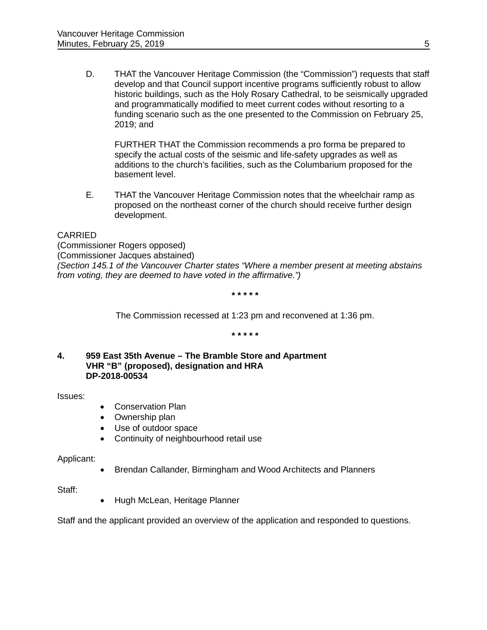D. THAT the Vancouver Heritage Commission (the "Commission") requests that staff develop and that Council support incentive programs sufficiently robust to allow historic buildings, such as the Holy Rosary Cathedral, to be seismically upgraded and programmatically modified to meet current codes without resorting to a funding scenario such as the one presented to the Commission on February 25, 2019; and

FURTHER THAT the Commission recommends a pro forma be prepared to specify the actual costs of the seismic and life-safety upgrades as well as additions to the church's facilities, such as the Columbarium proposed for the basement level.

E. THAT the Vancouver Heritage Commission notes that the wheelchair ramp as proposed on the northeast corner of the church should receive further design development.

# CARRIED

(Commissioner Rogers opposed) (Commissioner Jacques abstained) *(Section 145.1 of the Vancouver Charter states "Where a member present at meeting abstains from voting, they are deemed to have voted in the affirmative.")*

**\* \* \* \* \***

The Commission recessed at 1:23 pm and reconvened at 1:36 pm.

**\* \* \* \* \***

**4. 959 East 35th Avenue – The Bramble Store and Apartment VHR "B" (proposed), designation and HRA DP-2018-00534**

Issues:

- Conservation Plan
- Ownership plan
- Use of outdoor space
- Continuity of neighbourhood retail use

Applicant:

• Brendan Callander, Birmingham and Wood Architects and Planners

Staff:

• Hugh McLean, Heritage Planner

Staff and the applicant provided an overview of the application and responded to questions.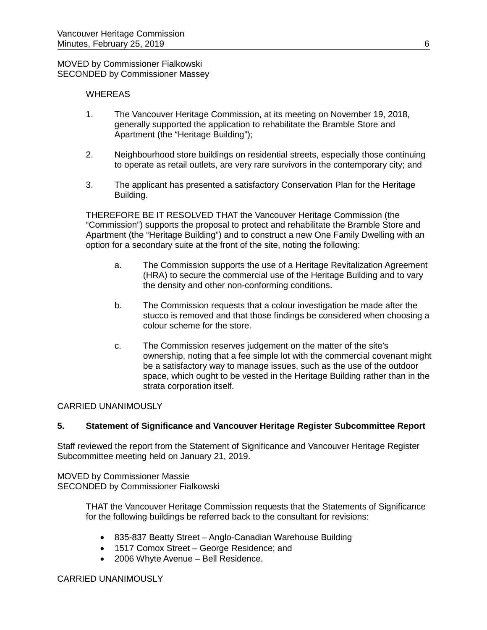MOVED by Commissioner Fialkowski SECONDED by Commissioner Massey

# **WHEREAS**

- 1. The Vancouver Heritage Commission, at its meeting on November 19, 2018, generally supported the application to rehabilitate the Bramble Store and Apartment (the "Heritage Building");
- 2. Neighbourhood store buildings on residential streets, especially those continuing to operate as retail outlets, are very rare survivors in the contemporary city; and
- 3. The applicant has presented a satisfactory Conservation Plan for the Heritage Building.

THEREFORE BE IT RESOLVED THAT the Vancouver Heritage Commission (the "Commission") supports the proposal to protect and rehabilitate the Bramble Store and Apartment (the "Heritage Building") and to construct a new One Family Dwelling with an option for a secondary suite at the front of the site, noting the following:

- a. The Commission supports the use of a Heritage Revitalization Agreement (HRA) to secure the commercial use of the Heritage Building and to vary the density and other non-conforming conditions.
- b. The Commission requests that a colour investigation be made after the stucco is removed and that those findings be considered when choosing a colour scheme for the store.
- c. The Commission reserves judgement on the matter of the site's ownership, noting that a fee simple lot with the commercial covenant might be a satisfactory way to manage issues, such as the use of the outdoor space, which ought to be vested in the Heritage Building rather than in the strata corporation itself.

#### CARRIED UNANIMOUSLY

# **5. Statement of Significance and Vancouver Heritage Register Subcommittee Report**

Staff reviewed the report from the Statement of Significance and Vancouver Heritage Register Subcommittee meeting held on January 21, 2019.

MOVED by Commissioner Massie SECONDED by Commissioner Fialkowski

> THAT the Vancouver Heritage Commission requests that the Statements of Significance for the following buildings be referred back to the consultant for revisions:

- 835-837 Beatty Street Anglo-Canadian Warehouse Building
- 1517 Comox Street George Residence; and
- 2006 Whyte Avenue Bell Residence.

#### CARRIED UNANIMOUSLY